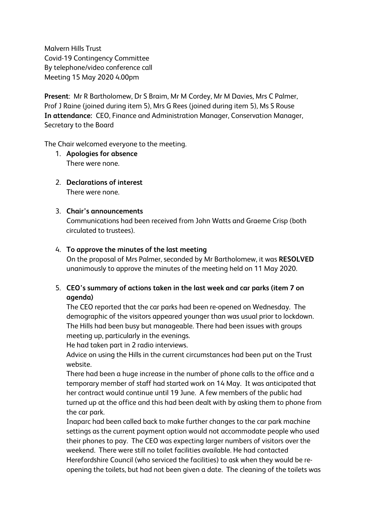Malvern Hills Trust Covid-19 Contingency Committee By telephone/video conference call Meeting 15 May 2020 4.00pm

**Present**: Mr R Bartholomew, Dr S Braim, Mr M Cordey, Mr M Davies, Mrs C Palmer, Prof J Raine (joined during item 5), Mrs G Rees (joined during item 5), Ms S Rouse **In attendance:** CEO, Finance and Administration Manager, Conservation Manager, Secretary to the Board

The Chair welcomed everyone to the meeting.

- 1. **Apologies for absence** There were none.
- 2. **Declarations of interest** There were none.

## 3. **Chair's announcements**

Communications had been received from John Watts and Graeme Crisp (both circulated to trustees).

### 4. **To approve the minutes of the last meeting**

On the proposal of Mrs Palmer, seconded by Mr Bartholomew, it was **RESOLVED** unanimously to approve the minutes of the meeting held on 11 May 2020.

# 5. **CEO's summary of actions taken in the last week and car parks (item 7 on agenda)**

The CEO reported that the car parks had been re-opened on Wednesday. The demographic of the visitors appeared younger than was usual prior to lockdown. The Hills had been busy but manageable. There had been issues with groups meeting up, particularly in the evenings.

He had taken part in 2 radio interviews.

Advice on using the Hills in the current circumstances had been put on the Trust website.

There had been a huge increase in the number of phone calls to the office and a temporary member of staff had started work on 14 May. It was anticipated that her contract would continue until 19 June. A few members of the public had turned up at the office and this had been dealt with by asking them to phone from the car park.

Inaparc had been called back to make further changes to the car park machine settings as the current payment option would not accommodate people who used their phones to pay. The CEO was expecting larger numbers of visitors over the weekend. There were still no toilet facilities available. He had contacted Herefordshire Council (who serviced the facilities) to ask when they would be reopening the toilets, but had not been given a date. The cleaning of the toilets was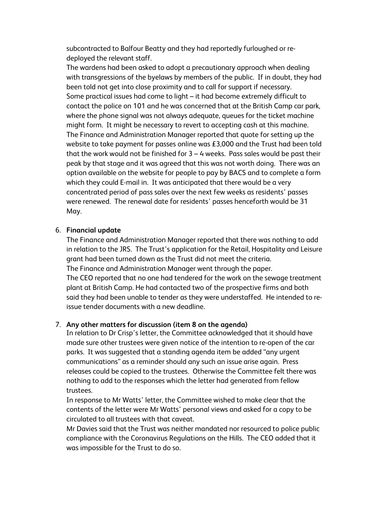subcontracted to Balfour Beatty and they had reportedly furloughed or redeployed the relevant staff.

The wardens had been asked to adopt a precautionary approach when dealing with transgressions of the byelaws by members of the public. If in doubt, they had been told not get into close proximity and to call for support if necessary. Some practical issues had come to light – it had become extremely difficult to contact the police on 101 and he was concerned that at the British Camp car park, where the phone signal was not always adequate, queues for the ticket machine might form. It might be necessary to revert to accepting cash at this machine. The Finance and Administration Manager reported that quote for setting up the website to take payment for passes online was £3,000 and the Trust had been told that the work would not be finished for 3 – 4 weeks. Pass sales would be past their peak by that stage and it was agreed that this was not worth doing. There was an option available on the website for people to pay by BACS and to complete a form which they could E-mail in. It was anticipated that there would be a very concentrated period of pass sales over the next few weeks as residents' passes were renewed. The renewal date for residents' passes henceforth would be 31 May.

### 6. **Financial update**

The Finance and Administration Manager reported that there was nothing to add in relation to the JRS. The Trust's application for the Retail, Hospitality and Leisure grant had been turned down as the Trust did not meet the criteria. The Finance and Administration Manager went through the paper. The CEO reported that no one had tendered for the work on the sewage treatment plant at British Camp. He had contacted two of the prospective firms and both said they had been unable to tender as they were understaffed. He intended to reissue tender documents with a new deadline.

### 7. **Any other matters for discussion (item 8 on the agenda)**

In relation to Dr Crisp's letter, the Committee acknowledged that it should have made sure other trustees were given notice of the intention to re-open of the car parks. It was suggested that a standing agenda item be added "any urgent communications" as a reminder should any such an issue arise again. Press releases could be copied to the trustees. Otherwise the Committee felt there was nothing to add to the responses which the letter had generated from fellow trustees.

In response to Mr Watts' letter, the Committee wished to make clear that the contents of the letter were Mr Watts' personal views and asked for a copy to be circulated to all trustees with that caveat.

Mr Davies said that the Trust was neither mandated nor resourced to police public compliance with the Coronavirus Regulations on the Hills. The CEO added that it was impossible for the Trust to do so.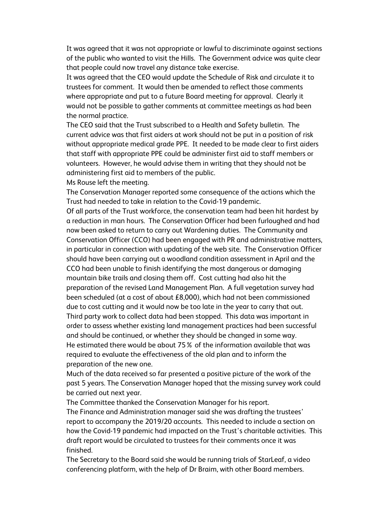It was agreed that it was not appropriate or lawful to discriminate against sections of the public who wanted to visit the Hills. The Government advice was quite clear that people could now travel any distance take exercise.

It was agreed that the CEO would update the Schedule of Risk and circulate it to trustees for comment. It would then be amended to reflect those comments where appropriate and put to a future Board meeting for approval. Clearly it would not be possible to gather comments at committee meetings as had been the normal practice.

The CEO said that the Trust subscribed to a Health and Safety bulletin. The current advice was that first aiders at work should not be put in a position of risk without appropriate medical grade PPE. It needed to be made clear to first aiders that staff with appropriate PPE could be administer first aid to staff members or volunteers. However, he would advise them in writing that they should not be administering first aid to members of the public.

Ms Rouse left the meeting.

The Conservation Manager reported some consequence of the actions which the Trust had needed to take in relation to the Covid-19 pandemic.

Of all parts of the Trust workforce, the conservation team had been hit hardest by a reduction in man hours. The Conservation Officer had been furloughed and had now been asked to return to carry out Wardening duties. The Community and Conservation Officer (CCO) had been engaged with PR and administrative matters, in particular in connection with updating of the web site. The Conservation Officer should have been carrying out a woodland condition assessment in April and the CCO had been unable to finish identifying the most dangerous or damaging mountain bike trails and closing them off. Cost cutting had also hit the preparation of the revised Land Management Plan. A full vegetation survey had been scheduled (at a cost of about £8,000), which had not been commissioned due to cost cutting and it would now be too late in the year to carry that out. Third party work to collect data had been stopped. This data was important in order to assess whether existing land management practices had been successful and should be continued, or whether they should be changed in some way. He estimated there would be about 75% of the information available that was required to evaluate the effectiveness of the old plan and to inform the preparation of the new one.

Much of the data received so far presented a positive picture of the work of the past 5 years. The Conservation Manager hoped that the missing survey work could be carried out next year.

The Committee thanked the Conservation Manager for his report. The Finance and Administration manager said she was drafting the trustees' report to accompany the 2019/20 accounts. This needed to include a section on how the Covid-19 pandemic had impacted on the Trust's charitable activities. This draft report would be circulated to trustees for their comments once it was finished.

The Secretary to the Board said she would be running trials of StarLeaf, a video conferencing platform, with the help of Dr Braim, with other Board members.